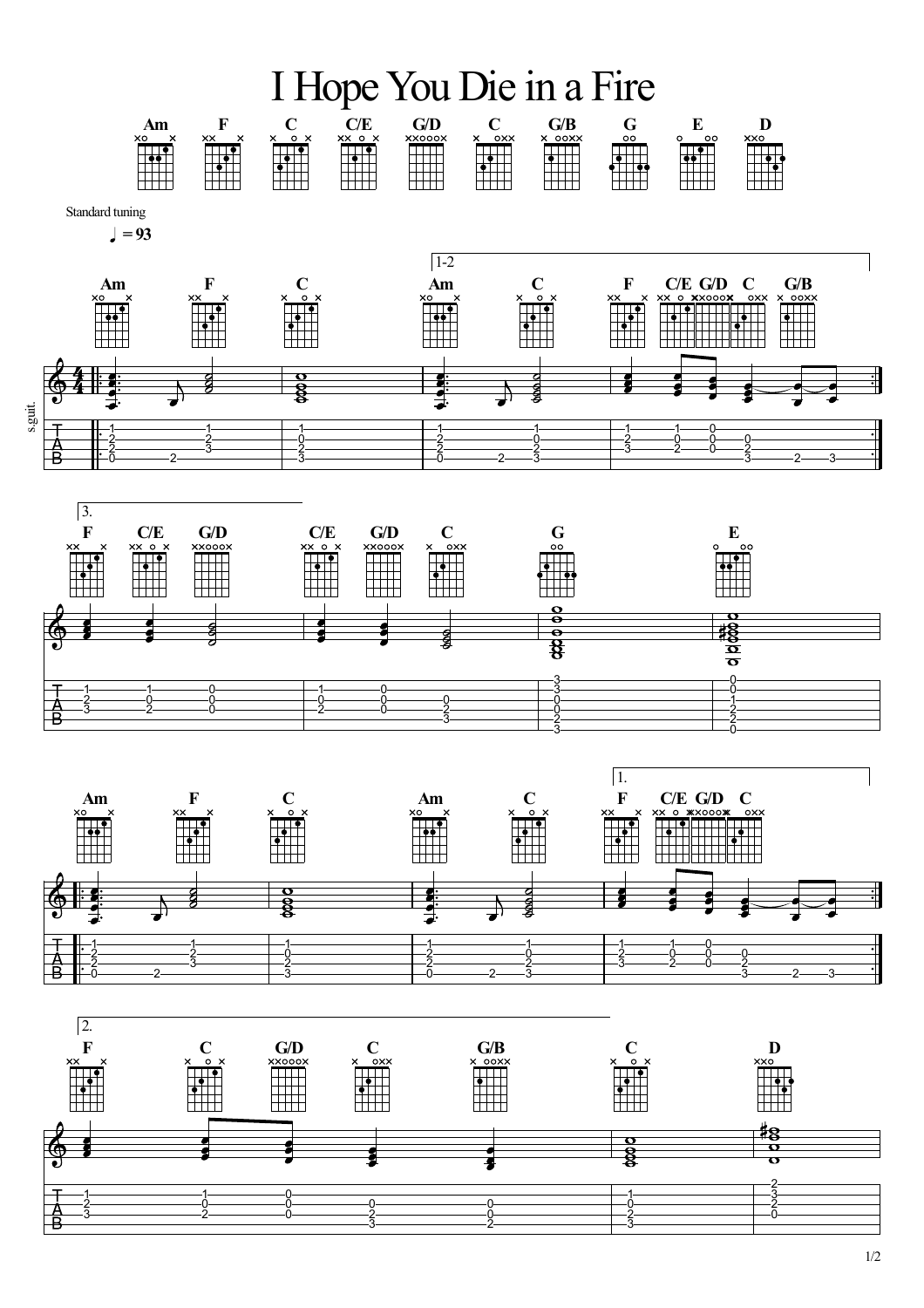